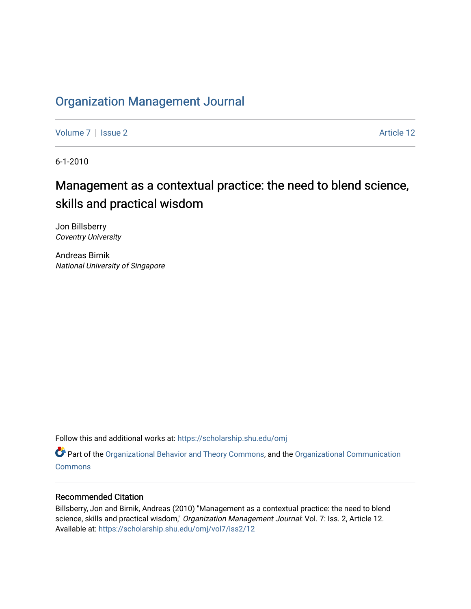### [Organization Management Journal](https://scholarship.shu.edu/omj)

[Volume 7](https://scholarship.shu.edu/omj/vol7) | [Issue 2](https://scholarship.shu.edu/omj/vol7/iss2) Article 12

6-1-2010

## Management as a contextual practice: the need to blend science, skills and practical wisdom

Jon Billsberry Coventry University

Andreas Birnik National University of Singapore

Follow this and additional works at: [https://scholarship.shu.edu/omj](https://scholarship.shu.edu/omj?utm_source=scholarship.shu.edu%2Fomj%2Fvol7%2Fiss2%2F12&utm_medium=PDF&utm_campaign=PDFCoverPages) 

Part of the [Organizational Behavior and Theory Commons,](http://network.bepress.com/hgg/discipline/639?utm_source=scholarship.shu.edu%2Fomj%2Fvol7%2Fiss2%2F12&utm_medium=PDF&utm_campaign=PDFCoverPages) and the [Organizational Communication](http://network.bepress.com/hgg/discipline/335?utm_source=scholarship.shu.edu%2Fomj%2Fvol7%2Fiss2%2F12&utm_medium=PDF&utm_campaign=PDFCoverPages) **[Commons](http://network.bepress.com/hgg/discipline/335?utm_source=scholarship.shu.edu%2Fomj%2Fvol7%2Fiss2%2F12&utm_medium=PDF&utm_campaign=PDFCoverPages)** 

#### Recommended Citation

Billsberry, Jon and Birnik, Andreas (2010) "Management as a contextual practice: the need to blend science, skills and practical wisdom," Organization Management Journal: Vol. 7: Iss. 2, Article 12. Available at: [https://scholarship.shu.edu/omj/vol7/iss2/12](https://scholarship.shu.edu/omj/vol7/iss2/12?utm_source=scholarship.shu.edu%2Fomj%2Fvol7%2Fiss2%2F12&utm_medium=PDF&utm_campaign=PDFCoverPages)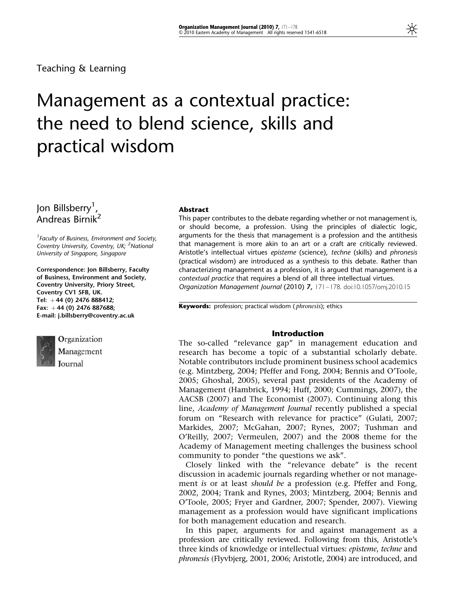# Management as a contextual practice: the need to blend science, skills and practical wisdom

Jon Billsberry $^{\rm 1}$ , Andreas Birnik<sup>2</sup>

<sup>1</sup> Faculty of Business, Environment and Society, Coventry University, Coventry, UK; <sup>2</sup>National University of Singapore, Singapore

Correspondence: Jon Billsberry, Faculty of Business, Environment and Society, Coventry University, Priory Street, Coventry CV1 5FB, UK. Tel:  $+44$  (0) 2476 888412; Fax:  $+44$  (0) 2476 887688; E-mail: j.billsberry@coventry.ac.uk



Organization

Management Journal

#### Abstract

This paper contributes to the debate regarding whether or not management is, or should become, a profession. Using the principles of dialectic logic, arguments for the thesis that management is a profession and the antithesis that management is more akin to an art or a craft are critically reviewed. Aristotle's intellectual virtues episteme (science), techne (skills) and phronesis (practical wisdom) are introduced as a synthesis to this debate. Rather than characterizing management as a profession, it is argued that management is a contextual practice that requires a blend of all three intellectual virtues. Organization Management Journal (2010) 7, 171–178. doi:10.1057/omj.2010.15

Keywords: profession; practical wisdom ( *phronesis*); ethics

#### Introduction

The so-called "relevance gap" in management education and research has become a topic of a substantial scholarly debate. Notable contributors include prominent business school academics (e.g. Mintzberg, 2004; Pfeffer and Fong, 2004; Bennis and O'Toole, 2005; Ghoshal, 2005), several past presidents of the Academy of Management (Hambrick, 1994; Huff, 2000; Cummings, 2007), the AACSB (2007) and The Economist (2007). Continuing along this line, Academy of Management Journal recently published a special forum on "Research with relevance for practice" (Gulati, 2007; Markides, 2007; McGahan, 2007; Rynes, 2007; Tushman and O'Reilly, 2007; Vermeulen, 2007) and the 2008 theme for the Academy of Management meeting challenges the business school community to ponder "the questions we ask".

Closely linked with the "relevance debate" is the recent discussion in academic journals regarding whether or not management is or at least should be a profession (e.g. Pfeffer and Fong, 2002, 2004; Trank and Rynes, 2003; Mintzberg, 2004; Bennis and O'Toole, 2005; Fryer and Gardner, 2007; Spender, 2007). Viewing management as a profession would have significant implications for both management education and research.

In this paper, arguments for and against management as a profession are critically reviewed. Following from this, Aristotle's three kinds of knowledge or intellectual virtues: episteme, techne and phronesis (Flyvbjerg, 2001, 2006; Aristotle, 2004) are introduced, and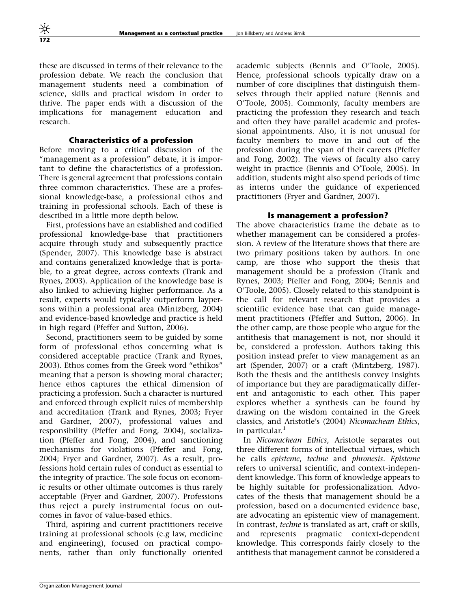these are discussed in terms of their relevance to the profession debate. We reach the conclusion that management students need a combination of science, skills and practical wisdom in order to thrive. The paper ends with a discussion of the implications for management education and research.

#### Characteristics of a profession

Before moving to a critical discussion of the "management as a profession" debate, it is important to define the characteristics of a profession. There is general agreement that professions contain three common characteristics. These are a professional knowledge-base, a professional ethos and training in professional schools. Each of these is described in a little more depth below.

First, professions have an established and codified professional knowledge-base that practitioners acquire through study and subsequently practice (Spender, 2007). This knowledge base is abstract and contains generalized knowledge that is portable, to a great degree, across contexts (Trank and Rynes, 2003). Application of the knowledge base is also linked to achieving higher performance. As a result, experts would typically outperform laypersons within a professional area (Mintzberg, 2004) and evidence-based knowledge and practice is held in high regard (Pfeffer and Sutton, 2006).

Second, practitioners seem to be guided by some form of professional ethos concerning what is considered acceptable practice (Trank and Rynes, 2003). Ethos comes from the Greek word "ethikos" meaning that a person is showing moral character; hence ethos captures the ethical dimension of practicing a profession. Such a character is nurtured and enforced through explicit rules of membership and accreditation (Trank and Rynes, 2003; Fryer and Gardner, 2007), professional values and responsibility (Pfeffer and Fong, 2004), socialization (Pfeffer and Fong, 2004), and sanctioning mechanisms for violations (Pfeffer and Fong, 2004; Fryer and Gardner, 2007). As a result, professions hold certain rules of conduct as essential to the integrity of practice. The sole focus on economic results or other ultimate outcomes is thus rarely acceptable (Fryer and Gardner, 2007). Professions thus reject a purely instrumental focus on outcomes in favor of value-based ethics.

Third, aspiring and current practitioners receive training at professional schools (e.g law, medicine and engineering), focused on practical components, rather than only functionally oriented academic subjects (Bennis and O'Toole, 2005). Hence, professional schools typically draw on a number of core disciplines that distinguish themselves through their applied nature (Bennis and O'Toole, 2005). Commonly, faculty members are practicing the profession they research and teach and often they have parallel academic and professional appointments. Also, it is not unusual for faculty members to move in and out of the profession during the span of their careers (Pfeffer and Fong, 2002). The views of faculty also carry weight in practice (Bennis and O'Toole, 2005). In addition, students might also spend periods of time as interns under the guidance of experienced practitioners (Fryer and Gardner, 2007).

#### Is management a profession?

The above characteristics frame the debate as to whether management can be considered a profession. A review of the literature shows that there are two primary positions taken by authors. In one camp, are those who support the thesis that management should be a profession (Trank and Rynes, 2003; Pfeffer and Fong, 2004; Bennis and O'Toole, 2005). Closely related to this standpoint is the call for relevant research that provides a scientific evidence base that can guide management practitioners (Pfeffer and Sutton, 2006). In the other camp, are those people who argue for the antithesis that management is not, nor should it be, considered a profession. Authors taking this position instead prefer to view management as an art (Spender, 2007) or a craft (Mintzberg, 1987). Both the thesis and the antithesis convey insights of importance but they are paradigmatically different and antagonistic to each other. This paper explores whether a synthesis can be found by drawing on the wisdom contained in the Greek classics, and Aristotle's (2004) Nicomachean Ethics, in particular.<sup>1</sup>

In Nicomachean Ethics, Aristotle separates out three different forms of intellectual virtues, which he calls episteme, techne and phronesis. Episteme refers to universal scientific, and context-independent knowledge. This form of knowledge appears to be highly suitable for professionalization. Advocates of the thesis that management should be a profession, based on a documented evidence base, are advocating an epistemic view of management. In contrast, techne is translated as art, craft or skills, and represents pragmatic context-dependent knowledge. This corresponds fairly closely to the antithesis that management cannot be considered a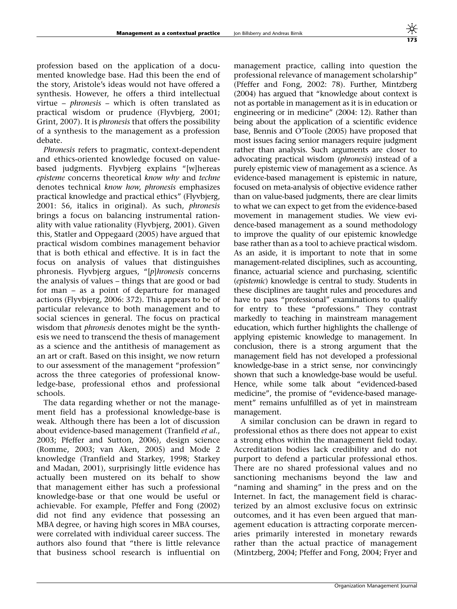profession based on the application of a documented knowledge base. Had this been the end of the story, Aristole's ideas would not have offered a synthesis. However, he offers a third intellectual virtue – phronesis – which is often translated as practical wisdom or prudence (Flyvbjerg, 2001; Grint, 2007). It is phronesis that offers the possibility of a synthesis to the management as a profession debate.

Phronesis refers to pragmatic, context-dependent and ethics-oriented knowledge focused on valuebased judgments. Flyvbjerg explains "[w]hereas episteme concerns theoretical know why and techne denotes technical know how, phronesis emphasizes practical knowledge and practical ethics" (Flyvbjerg, 2001: 56, italics in original). As such, phronesis brings a focus on balancing instrumental rationality with value rationality (Flyvbjerg, 2001). Given this, Statler and Oppegaard (2005) have argued that practical wisdom combines management behavior that is both ethical and effective. It is in fact the focus on analysis of values that distinguishes phronesis. Flyvbjerg argues, "[p]hronesis concerns the analysis of values – things that are good or bad for man – as a point of departure for managed actions (Flyvbjerg, 2006: 372). This appears to be of particular relevance to both management and to social sciences in general. The focus on practical wisdom that *phronesis* denotes might be the synthesis we need to transcend the thesis of management as a science and the antithesis of management as an art or craft. Based on this insight, we now return to our assessment of the management "profession" across the three categories of professional knowledge-base, professional ethos and professional schools.

The data regarding whether or not the management field has a professional knowledge-base is weak. Although there has been a lot of discussion about evidence-based management (Tranfield et al., 2003; Pfeffer and Sutton, 2006), design science (Romme, 2003; van Aken, 2005) and Mode 2 knowledge (Tranfield and Starkey, 1998; Starkey and Madan, 2001), surprisingly little evidence has actually been mustered on its behalf to show that management either has such a professional knowledge-base or that one would be useful or achievable. For example, Pfeffer and Fong (2002) did not find any evidence that possessing an MBA degree, or having high scores in MBA courses, were correlated with individual career success. The authors also found that "there is little relevance that business school research is influential on

management practice, calling into question the professional relevance of management scholarship" (Pfeffer and Fong, 2002: 78). Further, Mintzberg (2004) has argued that "knowledge about context is not as portable in management as it is in education or engineering or in medicine" (2004: 12). Rather than being about the application of a scientific evidence base, Bennis and O'Toole (2005) have proposed that most issues facing senior managers require judgment rather than analysis. Such arguments are closer to advocating practical wisdom (phronesis) instead of a purely epistemic view of management as a science. As evidence-based management is epistemic in nature, focused on meta-analysis of objective evidence rather than on value-based judgments, there are clear limits to what we can expect to get from the evidence-based movement in management studies. We view evidence-based management as a sound methodology to improve the quality of our epistemic knowledge base rather than as a tool to achieve practical wisdom. As an aside, it is important to note that in some management-related disciplines, such as accounting, finance, actuarial science and purchasing, scientific (epistemic) knowledge is central to study. Students in these disciplines are taught rules and procedures and have to pass "professional" examinations to qualify for entry to these "professions." They contrast markedly to teaching in mainstream management education, which further highlights the challenge of applying epistemic knowledge to management. In conclusion, there is a strong argument that the management field has not developed a professional knowledge-base in a strict sense, nor convincingly shown that such a knowledge-base would be useful. Hence, while some talk about "evidenced-based medicine", the promise of "evidence-based management" remains unfulfilled as of yet in mainstream management.

A similar conclusion can be drawn in regard to professional ethos as there does not appear to exist a strong ethos within the management field today. Accreditation bodies lack credibility and do not purport to defend a particular professional ethos. There are no shared professional values and no sanctioning mechanisms beyond the law and "naming and shaming" in the press and on the Internet. In fact, the management field is characterized by an almost exclusive focus on extrinsic outcomes, and it has even been argued that management education is attracting corporate mercenaries primarily interested in monetary rewards rather than the actual practice of management (Mintzberg, 2004; Pfeffer and Fong, 2004; Fryer and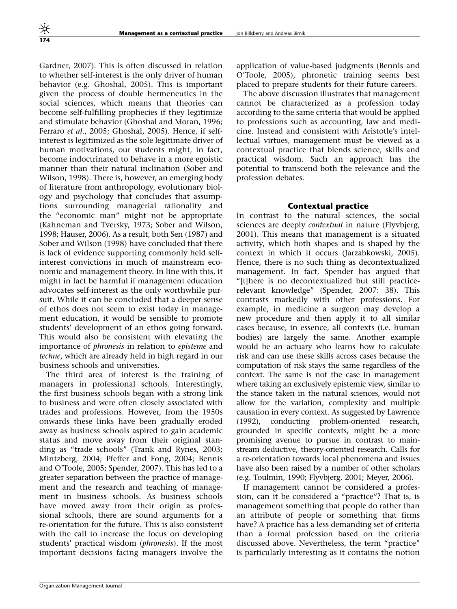Gardner, 2007). This is often discussed in relation to whether self-interest is the only driver of human behavior (e.g. Ghoshal, 2005). This is important given the process of double hermeneutics in the social sciences, which means that theories can become self-fulfilling prophecies if they legitimize and stimulate behavior (Ghoshal and Moran, 1996; Ferraro et al., 2005; Ghoshal, 2005). Hence, if selfinterest is legitimized as the sole legitimate driver of human motivations, our students might, in fact, become indoctrinated to behave in a more egoistic manner than their natural inclination (Sober and Wilson, 1998). There is, however, an emerging body of literature from anthropology, evolutionary biology and psychology that concludes that assumptions surrounding managerial rationality and the "economic man" might not be appropriate (Kahneman and Tversky, 1973; Sober and Wilson, 1998; Hauser, 2006). As a result, both Sen (1987) and Sober and Wilson (1998) have concluded that there is lack of evidence supporting commonly held selfinterest convictions in much of mainstream economic and management theory. In line with this, it might in fact be harmful if management education advocates self-interest as the only worthwhile pursuit. While it can be concluded that a deeper sense of ethos does not seem to exist today in management education, it would be sensible to promote students' development of an ethos going forward. This would also be consistent with elevating the importance of phronesis in relation to episteme and techne, which are already held in high regard in our business schools and universities.

The third area of interest is the training of managers in professional schools. Interestingly, the first business schools began with a strong link to business and were often closely associated with trades and professions. However, from the 1950s onwards these links have been gradually eroded away as business schools aspired to gain academic status and move away from their original standing as "trade schools" (Trank and Rynes, 2003; Mintzberg, 2004; Pfeffer and Fong, 2004; Bennis and O'Toole, 2005; Spender, 2007). This has led to a greater separation between the practice of management and the research and teaching of management in business schools. As business schools have moved away from their origin as professional schools, there are sound arguments for a re-orientation for the future. This is also consistent with the call to increase the focus on developing students' practical wisdom (phronesis). If the most important decisions facing managers involve the application of value-based judgments (Bennis and O'Toole, 2005), phronetic training seems best placed to prepare students for their future careers.

The above discussion illustrates that management cannot be characterized as a profession today according to the same criteria that would be applied to professions such as accounting, law and medicine. Instead and consistent with Aristotle's intellectual virtues, management must be viewed as a contextual practice that blends science, skills and practical wisdom. Such an approach has the potential to transcend both the relevance and the profession debates.

#### Contextual practice

In contrast to the natural sciences, the social sciences are deeply contextual in nature (Flyvbjerg, 2001). This means that management is a situated activity, which both shapes and is shaped by the context in which it occurs (Jarzabkowski, 2005). Hence, there is no such thing as decontextualized management. In fact, Spender has argued that "[t]here is no decontextualized but still practicerelevant knowledge" (Spender, 2007: 38). This contrasts markedly with other professions. For example, in medicine a surgeon may develop a new procedure and then apply it to all similar cases because, in essence, all contexts (i.e. human bodies) are largely the same. Another example would be an actuary who learns how to calculate risk and can use these skills across cases because the computation of risk stays the same regardless of the context. The same is not the case in management where taking an exclusively epistemic view, similar to the stance taken in the natural sciences, would not allow for the variation, complexity and multiple causation in every context. As suggested by Lawrence (1992), conducting problem-oriented research, grounded in specific contexts, might be a more promising avenue to pursue in contrast to mainstream deductive, theory-oriented research. Calls for a re-orientation towards local phenomena and issues have also been raised by a number of other scholars (e.g. Toulmin, 1990; Flyvbjerg, 2001; Meyer, 2006).

If management cannot be considered a profession, can it be considered a "practice"? That is, is management something that people do rather than an attribute of people or something that firms have? A practice has a less demanding set of criteria than a formal profession based on the criteria discussed above. Nevertheless, the term "practice" is particularly interesting as it contains the notion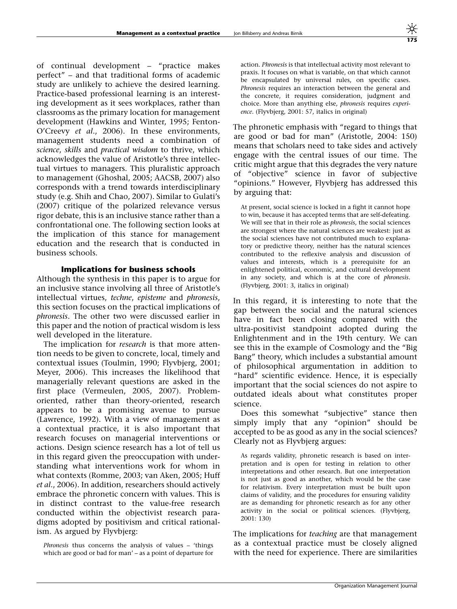of continual development – "practice makes perfect" – and that traditional forms of academic study are unlikely to achieve the desired learning. Practice-based professional learning is an interesting development as it sees workplaces, rather than classrooms as the primary location for management development (Hawkins and Winter, 1995; Fenton-O'Creevy et al., 2006). In these environments, management students need a combination of science, skills and practical wisdom to thrive, which acknowledges the value of Aristotle's three intellectual virtues to managers. This pluralistic approach to management (Ghoshal, 2005; AACSB, 2007) also corresponds with a trend towards interdisciplinary study (e.g. Shih and Chao, 2007). Similar to Gulati's (2007) critique of the polarized relevance versus rigor debate, this is an inclusive stance rather than a confrontational one. The following section looks at the implication of this stance for management education and the research that is conducted in business schools.

#### Implications for business schools

Although the synthesis in this paper is to argue for an inclusive stance involving all three of Aristotle's intellectual virtues, techne, episteme and phronesis, this section focuses on the practical implications of phronesis. The other two were discussed earlier in this paper and the notion of practical wisdom is less well developed in the literature.

The implication for *research* is that more attention needs to be given to concrete, local, timely and contextual issues (Toulmin, 1990; Flyvbjerg, 2001; Meyer, 2006). This increases the likelihood that managerially relevant questions are asked in the first place (Vermeulen, 2005, 2007). Problemoriented, rather than theory-oriented, research appears to be a promising avenue to pursue (Lawrence, 1992). With a view of management as a contextual practice, it is also important that research focuses on managerial interventions or actions. Design science research has a lot of tell us in this regard given the preoccupation with understanding what interventions work for whom in what contexts (Romme, 2003; van Aken, 2005; Huff et al., 2006). In addition, researchers should actively embrace the phronetic concern with values. This is in distinct contrast to the value-free research conducted within the objectivist research paradigms adopted by positivism and critical rationalism. As argued by Flyvbjerg:

Phronesis thus concerns the analysis of values – 'things which are good or bad for man' – as a point of departure for action. Phronesis is that intellectual activity most relevant to praxis. It focuses on what is variable, on that which cannot be encapsulated by universal rules, on specific cases. Phronesis requires an interaction between the general and the concrete, it requires consideration, judgment and choice. More than anything else, phronesis requires experience. (Flyvbjerg, 2001: 57, italics in original)

The phronetic emphasis with "regard to things that are good or bad for man" (Aristotle, 2004: 150) means that scholars need to take sides and actively engage with the central issues of our time. The critic might argue that this degrades the very nature of "objective" science in favor of subjective "opinions." However, Flyvbjerg has addressed this by arguing that:

At present, social science is locked in a fight it cannot hope to win, because it has accepted terms that are self-defeating. We will see that in their role as phronesis, the social sciences are strongest where the natural sciences are weakest: just as the social sciences have not contributed much to explanatory or predictive theory, neither has the natural sciences contributed to the reflexive analysis and discussion of values and interests, which is a prerequisite for an enlightened political, economic, and cultural development in any society, and which is at the core of phronesis. (Flyvbjerg, 2001: 3, italics in original)

In this regard, it is interesting to note that the gap between the social and the natural sciences have in fact been closing compared with the ultra-positivist standpoint adopted during the Enlightenment and in the 19th century. We can see this in the example of Cosmology and the "Big Bang" theory, which includes a substantial amount of philosophical argumentation in addition to "hard" scientific evidence. Hence, it is especially important that the social sciences do not aspire to outdated ideals about what constitutes proper science.

Does this somewhat "subjective" stance then simply imply that any "opinion" should be accepted to be as good as any in the social sciences? Clearly not as Flyvbjerg argues:

As regards validity, phronetic research is based on interpretation and is open for testing in relation to other interpretations and other research. But one interpretation is not just as good as another, which would be the case for relativism. Every interpretation must be built upon claims of validity, and the procedures for ensuring validity are as demanding for phronetic research as for any other activity in the social or political sciences. (Flyvbjerg, 2001: 130)

The implications for teaching are that management as a contextual practice must be closely aligned with the need for experience. There are similarities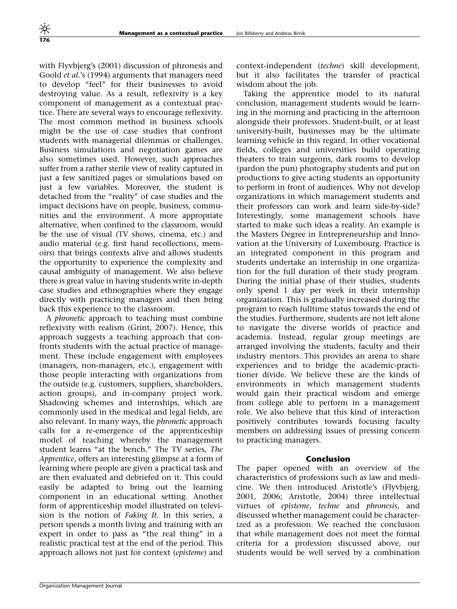with Flyvbjerg's (2001) discussion of phronesis and Goold et al.'s (1994) arguments that managers need to develop "feel" for their businesses to avoid destroying value. As a result, reflexivity is a key component of management as a contextual practice. There are several ways to encourage reflexivity. The most common method in business schools might be the use of case studies that confront students with managerial dilemmas or challenges. Business simulations and negotiation games are also sometimes used. However, such approaches suffer from a rather sterile view of reality captured in just a few sanitized pages or simulations based on just a few variables. Moreover, the student is detached from the "reality" of case studies and the impact decisions have on people, business, communities and the environment. A more appropriate alternative, when confined to the classroom, would be the use of visual (TV shows, cinema, etc.) and audio material (e.g. first hand recollections, memoirs) that brings contexts alive and allows students the opportunity to experience the complexity and causal ambiguity of management. We also believe there is great value in having students write in-depth case studies and ethnographies where they engage directly with practicing managers and then bring back this experience to the classroom.

A phronetic approach to teaching must combine reflexivity with realism (Grint, 2007). Hence, this approach suggests a teaching approach that confronts students with the actual practice of management. These include engagement with employees (managers, non-managers, etc.), engagement with those people interacting with organizations from the outside (e.g. customers, suppliers, shareholders, action groups), and in-company project work. Shadowing schemes and internships, which are commonly used in the medical and legal fields, are also relevant. In many ways, the *phronetic* approach calls for a re-emergence of the apprenticeship model of teaching whereby the management student learns "at the bench." The TV series, The Apprentice, offers an interesting glimpse at a form of learning where people are given a practical task and are then evaluated and debriefed on it. This could easily be adapted to bring out the learning component in an educational setting. Another form of apprenticeship model illustrated on television is the notion of Faking It. In this series, a person spends a month living and training with an expert in order to pass as "the real thing" in a realistic practical test at the end of the period. This approach allows not just for context (episteme) and

context-independent (techne) skill development, but it also facilitates the transfer of practical wisdom about the job.

Taking the apprentice model to its natural conclusion, management students would be learning in the morning and practicing in the afternoon alongside their professors. Student-built, or at least university-built, businesses may be the ultimate learning vehicle in this regard. In other vocational fields, colleges and universities build operating theaters to train surgeons, dark rooms to develop (pardon the pun) photography students and put on productions to give acting students an opportunity to perform in front of audiences. Why not develop organizations in which management students and their professors can work and learn side-by-side? Interestingly, some management schools have started to make such ideas a reality. An example is the Masters Degree in Entrepreneurship and Innovation at the University of Luxembourg. Practice is an integrated component in this program and students undertake an internship in one organization for the full duration of their study program. During the initial phase of their studies, students only spend 1 day per week in their internship organization. This is gradually increased during the program to reach fulltime status towards the end of the studies. Furthermore, students are not left alone to navigate the diverse worlds of practice and academia. Instead, regular group meetings are arranged involving the students, faculty and their industry mentors. This provides an arena to share experiences and to bridge the academic-practitioner divide. We believe these are the kinds of environments in which management students would gain their practical wisdom and emerge from college able to perform in a management role. We also believe that this kind of interaction positively contributes towards focusing faculty members on addressing issues of pressing concern to practicing managers.

#### Conclusion

The paper opened with an overview of the characteristics of professions such as law and medicine. We then introduced Aristotle's (Flyvbjerg, 2001, 2006; Aristotle, 2004) three intellectual virtues of episteme, techne and phronesis, and discussed whether management could be characterized as a profession. We reached the conclusion that while management does not meet the formal criteria for a profession discussed above, our students would be well served by a combination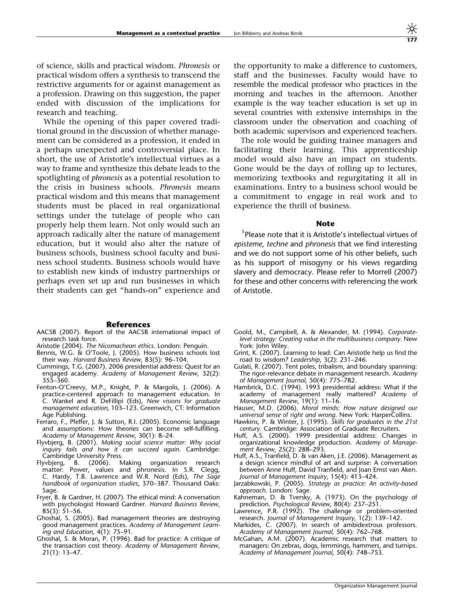of science, skills and practical wisdom. Phronesis or practical wisdom offers a synthesis to transcend the restrictive arguments for or against management as a profession. Drawing on this suggestion, the paper ended with discussion of the implications for research and teaching.

While the opening of this paper covered traditional ground in the discussion of whether management can be considered as a profession, it ended in a perhaps unexpected and controversial place. In short, the use of Aristotle's intellectual virtues as a way to frame and synthesize this debate leads to the spotlighting of phronesis as a potential resolution to the crisis in business schools. Phronesis means practical wisdom and this means that management students must be placed in real organizational settings under the tutelage of people who can properly help them learn. Not only would such an approach radically alter the nature of management education, but it would also alter the nature of business schools, business school faculty and business school students. Business schools would have to establish new kinds of industry partnerships or perhaps even set up and run businesses in which their students can get "hands-on" experience and

#### References

- AACSB (2007). Report of the AACSB international impact of research task force.
- Aristotle (2004). The Nicomachean ethics. London: Penguin.
- Bennis, W.G. & O'Toole, J. (2005). How business schools lost their way. Harvard Business Review, 83(5): 96–104.
- Cummings, T.G. (2007). 2006 presidential address: Quest for an engaged academy. Academy of Management Review, 32(2): 355–360.
- Fenton-O'Creevy, M.P., Knight, P. & Margolis, J. (2006). A practice-centered approach to management education. In C. Wankel and R. DeFillipi (Eds), New visions for graduate management education, 103–123. Greenwich, CT: Information Age Publishing.
- Ferraro, F., Pfeffer, J. & Sutton, R.I. (2005). Economic language and assumptions: How theories can become self-fulfilling. Academy of Management Review, 30(1): 8–24.
- Flyvbjerg, B. (2001). Making social science matter: Why social inquiry fails and how it can succeed again. Cambridge: Cambridge University Press.<br>yvbjerg, B. (2006). Making organization research
- Flyvbjerg, B. (2006). Making organization research matter: Power, values and phronesis. In S.R. Clegg, C. Hardy, T.B. Lawrence and W.R. Nord (Eds), The Sage handbook of organization studies, 370-387. Thousand Oaks: Sage.
- Fryer, B. & Gardner, H. (2007). The ethical mind: A conversation with psychologist Howard Gardner. Harvard Business Review, 85(3): 51–56.
- Ghoshal, S. (2005). Bad management theories are destroying good management practices. Academy of Management Learning and Education, 4(1): 75–91.
- Ghoshal, S. & Moran, P. (1996). Bad for practice: A critique of the transaction cost theory. Academy of Management Review, 21(1): 13–47.

the opportunity to make a difference to customers, staff and the businesses. Faculty would have to resemble the medical professor who practices in the morning and teaches in the afternoon. Another example is the way teacher education is set up in several countries with extensive internships in the classroom under the observation and coaching of both academic supervisors and experienced teachers.

The role would be guiding trainee managers and facilitating their learning. This apprenticeship model would also have an impact on students. Gone would be the days of rolling up to lectures, memorizing textbooks and regurgitating it all in examinations. Entry to a business school would be a commitment to engage in real work and to experience the thrill of business.

#### **Note**

<sup>1</sup>Please note that it is Aristotle's intellectual virtues of episteme, techne and phronesis that we find interesting and we do not support some of his other beliefs, such as his support of misogyny or his views regarding slavery and democracy. Please refer to Morrell (2007) for these and other concerns with referencing the work of Aristotle.

- Goold, M., Campbell, A. & Alexander, M. (1994). Corporatelevel strategy: Creating value in the multibusiness company. New York: John Wiley.
- Grint, K. (2007). Learning to lead: Can Aristotle help us find the road to wisdom? Leadership, 3(2): 231–246.
- Gulati, R. (2007). Tent poles, tribalism, and boundary spanning: The rigor-relevance debate in management research. Academy of Management Journal, 50(4): 775–782.
- Hambrick, D.C. (1994). 1993 presidential address: What if the academy of management really mattered? Academy of Management Review, 19(1): 11–16.
- Hauser, M.D. (2006). Moral minds: How nature designed our universal sense of right and wrong. New York: HarperCollins.
- Hawkins, P. & Winter, J. (1995). Skills for graduates in the 21st century. Cambridge: Association of Graduate Recruiters.
- Huff, A.S. (2000). 1999 presidential address: Changes in organizational knowledge production. Academy of Management Review, 25(2): 288–293.
- Huff, A.S., Tranfield, D. & van Aken, J.E. (2006). Management as a design science mindful of art and surprise: A conversation between Anne Huff, David Tranfield, and Joan Ernst van Aken. Journal of Management Inquiry, 15(4): 413–424.
- Jarzabkowski, P. (2005). Strategy as practice: An activity-based approach. London: Sage.
- Kahneman, D. & Tversky, A. (1973). On the psychology of prediction. Psychological Review, 80(4): 237–251.
- Lawrence, P.R. (1992). The challenge or problem-oriented research. Journal of Management Inquiry, 1(2): 139–142.
- Markides, C. (2007). In search of ambidextrous professors. Academy of Management Journal, 50(4): 762–768.
- McGahan, A.M. (2007). Academic research that matters to managers: On zebras, dogs, lemmings, hammers, and turnips. Academy of Management Journal, 50(4): 748–753.